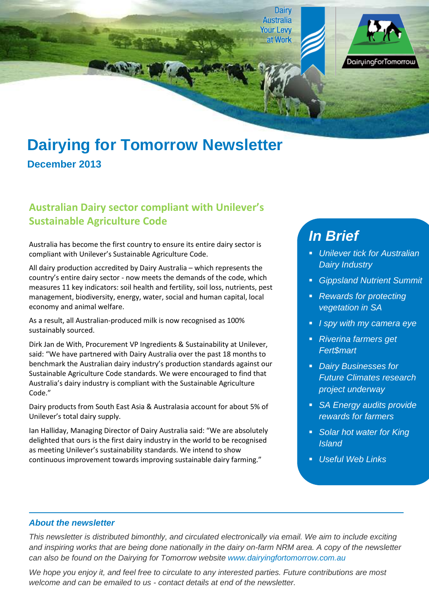



# **Dairying for Tomorrow Newsletter**

### **December 2013**

#### **Australian Dairy sector compliant with Unilever's Sustainable Agriculture Code**

Australia has become the first country to ensure its entire dairy sector is compliant with Unilever's Sustainable Agriculture Code.

All dairy production accredited by Dairy Australia – which represents the country's entire dairy sector - now meets the demands of the code, which measures 11 key indicators: soil health and fertility, soil loss, nutrients, pest management, biodiversity, energy, water, social and human capital, local economy and animal welfare.

As a result, all Australian-produced milk is now recognised as 100% sustainably sourced.

Dirk Jan de With, Procurement VP Ingredients & Sustainability at Unilever, said: "We have partnered with Dairy Australia over the past 18 months to benchmark the Australian dairy industry's production standards against our Sustainable Agriculture Code standards. We were encouraged to find that Australia's dairy industry is compliant with the Sustainable Agriculture Code."

Dairy products from South East Asia & Australasia account for about 5% of Unilever's total dairy supply.

Ian Halliday, Managing Director of Dairy Australia said: "We are absolutely delighted that ours is the first dairy industry in the world to be recognised as meeting Unilever's sustainability standards. We intend to show continuous improvement towards improving sustainable dairy farming."

## *In Brief*

- *Unilever tick for Australian Dairy Industry*
- *Gippsland Nutrient Summit*
- *Rewards for protecting vegetation in SA*
- *I spy with my camera eye*
- *Riverina farmers get Fert\$mart*
- *Dairy Businesses for Future Climates research project underway*
- *SA Energy audits provide rewards for farmers*
- *Solar hot water for King Island*
- *Useful Web Links*

#### *About the newsletter*

*This newsletter is distributed bimonthly, and circulated electronically via email. We aim to include exciting and inspiring works that are being done nationally in the dairy on-farm NRM area. A copy of the newsletter can also be found on the Dairying for Tomorrow website [www.dairyingfortomorrow.com.au](http://www.dairyingfortomorrow.com.au/)* 

*We hope you enjoy it, and feel free to circulate to any interested parties. Future contributions are most welcome and can be emailed to us - contact details at end of the newsletter.*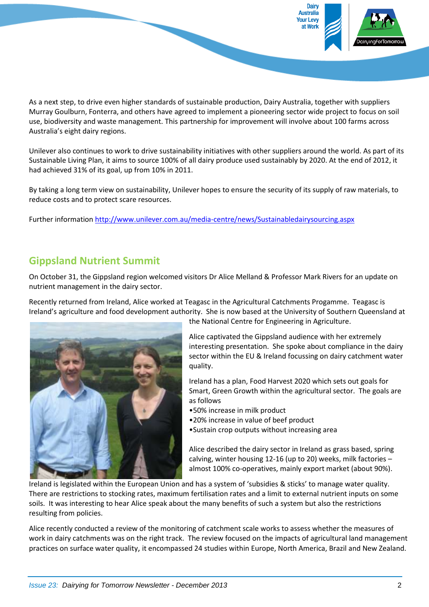

As a next step, to drive even higher standards of sustainable production, Dairy Australia, together with suppliers Murray Goulburn, Fonterra, and others have agreed to implement a pioneering sector wide project to focus on soil use, biodiversity and waste management. This partnership for improvement will involve about 100 farms across Australia's eight dairy regions.

Unilever also continues to work to drive sustainability initiatives with other suppliers around the world. As part of its Sustainable Living Plan, it aims to source 100% of all dairy produce used sustainably by 2020. At the end of 2012, it had achieved 31% of its goal, up from 10% in 2011.

By taking a long term view on sustainability, Unilever hopes to ensure the security of its supply of raw materials, to reduce costs and to protect scare resources.

Further information<http://www.unilever.com.au/media-centre/news/Sustainabledairysourcing.aspx>

#### **Gippsland Nutrient Summit**

On October 31, the Gippsland region welcomed visitors Dr Alice Melland & Professor Mark Rivers for an update on nutrient management in the dairy sector.

Recently returned from Ireland, Alice worked at Teagasc in the Agricultural Catchments Progamme. Teagasc is Ireland's agriculture and food development authority. She is now based at the University of Southern Queensland at



the National Centre for Engineering in Agriculture.

Alice captivated the Gippsland audience with her extremely interesting presentation. She spoke about compliance in the dairy sector within the EU & Ireland focussing on dairy catchment water quality.

Ireland has a plan, Food Harvest 2020 which sets out goals for Smart, Green Growth within the agricultural sector. The goals are as follows

- •50% increase in milk product
- •20% increase in value of beef product
- •Sustain crop outputs without increasing area

Alice described the dairy sector in Ireland as grass based, spring calving, winter housing 12-16 (up to 20) weeks, milk factories – almost 100% co-operatives, mainly export market (about 90%).

Ireland is legislated within the European Union and has a system of 'subsidies & sticks' to manage water quality. There are restrictions to stocking rates, maximum fertilisation rates and a limit to external nutrient inputs on some soils. It was interesting to hear Alice speak about the many benefits of such a system but also the restrictions resulting from policies.

Alice recently conducted a review of the monitoring of catchment scale works to assess whether the measures of work in dairy catchments was on the right track. The review focused on the impacts of agricultural land management practices on surface water quality, it encompassed 24 studies within Europe, North America, Brazil and New Zealand.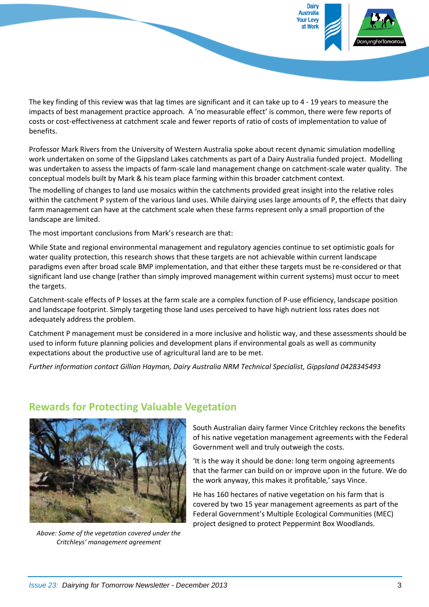

The key finding of this review was that lag times are significant and it can take up to 4 - 19 years to measure the impacts of best management practice approach. A 'no measurable effect' is common, there were few reports of costs or cost-effectiveness at catchment scale and fewer reports of ratio of costs of implementation to value of benefits.

Professor Mark Rivers from the University of Western Australia spoke about recent dynamic simulation modelling work undertaken on some of the Gippsland Lakes catchments as part of a Dairy Australia funded project. Modelling was undertaken to assess the impacts of farm-scale land management change on catchment-scale water quality. The conceptual models built by Mark & his team place farming within this broader catchment context.

The modelling of changes to land use mosaics within the catchments provided great insight into the relative roles within the catchment P system of the various land uses. While dairying uses large amounts of P, the effects that dairy farm management can have at the catchment scale when these farms represent only a small proportion of the landscape are limited.

The most important conclusions from Mark's research are that:

While State and regional environmental management and regulatory agencies continue to set optimistic goals for water quality protection, this research shows that these targets are not achievable within current landscape paradigms even after broad scale BMP implementation, and that either these targets must be re-considered or that significant land use change (rather than simply improved management within current systems) must occur to meet the targets.

Catchment-scale effects of P losses at the farm scale are a complex function of P-use efficiency, landscape position and landscape footprint. Simply targeting those land uses perceived to have high nutrient loss rates does not adequately address the problem.

Catchment P management must be considered in a more inclusive and holistic way, and these assessments should be used to inform future planning policies and development plans if environmental goals as well as community expectations about the productive use of agricultural land are to be met.

*Further information contact Gillian Hayman, Dairy Australia NRM Technical Specialist, Gippsland 0428345493*



*Above: Some of the vegetation covered under the Critchleys' management agreement*

South Australian dairy farmer Vince Critchley reckons the benefits of his native vegetation management agreements with the Federal Government well and truly outweigh the costs.

'It is the way it should be done: long term ongoing agreements that the farmer can build on or improve upon in the future. We do the work anyway, this makes it profitable,' says Vince.

He has 160 hectares of native vegetation on his farm that is covered by two 15 year management agreements as part of the Federal Government's Multiple Ecological Communities (MEC) project designed to protect Peppermint Box Woodlands.

**Rewards for Protecting Valuable Vegetation**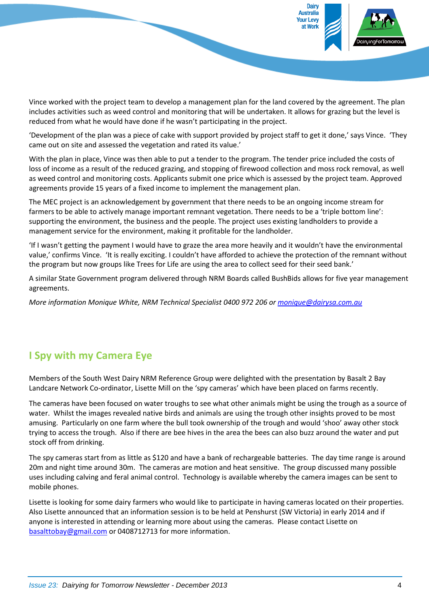

Vince worked with the project team to develop a management plan for the land covered by the agreement. The plan includes activities such as weed control and monitoring that will be undertaken. It allows for grazing but the level is reduced from what he would have done if he wasn't participating in the project.

'Development of the plan was a piece of cake with support provided by project staff to get it done,' says Vince. 'They came out on site and assessed the vegetation and rated its value.'

With the plan in place, Vince was then able to put a tender to the program. The tender price included the costs of loss of income as a result of the reduced grazing, and stopping of firewood collection and moss rock removal, as well as weed control and monitoring costs. Applicants submit one price which is assessed by the project team. Approved agreements provide 15 years of a fixed income to implement the management plan.

The MEC project is an acknowledgement by government that there needs to be an ongoing income stream for farmers to be able to actively manage important remnant vegetation. There needs to be a 'triple bottom line': supporting the environment, the business and the people. The project uses existing landholders to provide a management service for the environment, making it profitable for the landholder.

'If I wasn't getting the payment I would have to graze the area more heavily and it wouldn't have the environmental value,' confirms Vince. 'It is really exciting. I couldn't have afforded to achieve the protection of the remnant without the program but now groups like Trees for Life are using the area to collect seed for their seed bank.'

A similar State Government program delivered through NRM Boards called BushBids allows for five year management agreements.

*More information Monique White, NRM Technical Specialist 0400 972 206 or [monique@dairysa.com.au](mailto:monique@dairysa.com.au)*

#### **I Spy with my Camera Eye**

Members of the South West Dairy NRM Reference Group were delighted with the presentation by Basalt 2 Bay Landcare Network Co-ordinator, Lisette Mill on the 'spy cameras' which have been placed on farms recently.

The cameras have been focused on water troughs to see what other animals might be using the trough as a source of water. Whilst the images revealed native birds and animals are using the trough other insights proved to be most amusing. Particularly on one farm where the bull took ownership of the trough and would 'shoo' away other stock trying to access the trough. Also if there are bee hives in the area the bees can also buzz around the water and put stock off from drinking.

The spy cameras start from as little as \$120 and have a bank of rechargeable batteries. The day time range is around 20m and night time around 30m. The cameras are motion and heat sensitive. The group discussed many possible uses including calving and feral animal control. Technology is available whereby the camera images can be sent to mobile phones.

Lisette is looking for some dairy farmers who would like to participate in having cameras located on their properties. Also Lisette announced that an information session is to be held at Penshurst (SW Victoria) in early 2014 and if anyone is interested in attending or learning more about using the cameras. Please contact Lisette on [basalttobay@gmail.com](mailto:basalttobay@gmail.com) or 0408712713 for more information.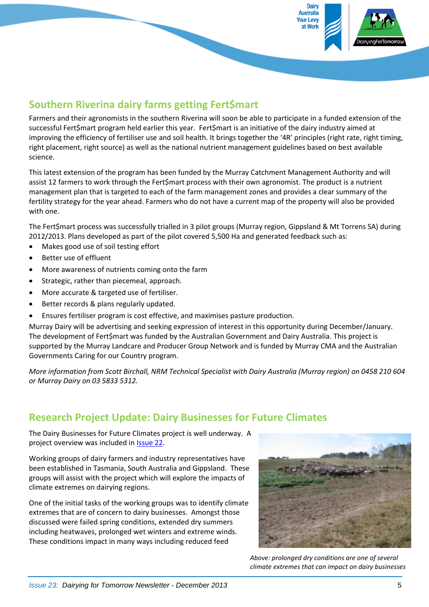

#### **Southern Riverina dairy farms getting Fert\$mart**

Farmers and their agronomists in the southern Riverina will soon be able to participate in a funded extension of the successful Fert\$mart program held earlier this year. Fert\$mart is an initiative of the dairy industry aimed at improving the efficiency of fertiliser use and soil health. It brings together the '4R' principles (right rate, right timing, right placement, right source) as well as the national nutrient management guidelines based on best available science.

This latest extension of the program has been funded by the Murray Catchment Management Authority and will assist 12 farmers to work through the Fert\$mart process with their own agronomist. The product is a nutrient management plan that is targeted to each of the farm management zones and provides a clear summary of the fertility strategy for the year ahead. Farmers who do not have a current map of the property will also be provided with one.

The Fert\$mart process was successfully trialled in 3 pilot groups (Murray region, Gippsland & Mt Torrens SA) during 2012/2013. Plans developed as part of the pilot covered 5,500 Ha and generated feedback such as:

- Makes good use of soil testing effort
- Better use of effluent
- More awareness of nutrients coming onto the farm
- Strategic, rather than piecemeal, approach.
- More accurate & targeted use of fertiliser.
- Better records & plans regularly updated.
- Ensures fertiliser program is cost effective, and maximises pasture production.

Murray Dairy will be advertising and seeking expression of interest in this opportunity during December/January. The development of Fert\$mart was funded by the Australian Government and Dairy Australia. This project is supported by the Murray Landcare and Producer Group Network and is funded by Murray CMA and the Australian Governments Caring for our Country program.

*More information from Scott Birchall, NRM Technical Specialist with Dairy Australia (Murray region) on 0458 210 604 or Murray Dairy on 03 5833 5312.*

#### **Research Project Update: Dairy Businesses for Future Climates**

The Dairy Businesses for Future Climates project is well underway. A project overview was included in [Issue 22.](http://www.dairyingfortomorrow.com/uploads/documents/file/DfT%20newsletters/DfT%20newsletter%20September%202013%20Issue22.pdf)

Working groups of dairy farmers and industry representatives have been established in Tasmania, South Australia and Gippsland. These groups will assist with the project which will explore the impacts of climate extremes on dairying regions.

One of the initial tasks of the working groups was to identify climate extremes that are of concern to dairy businesses. Amongst those discussed were failed spring conditions, extended dry summers including heatwaves, prolonged wet winters and extreme winds. These conditions impact in many ways including reduced feed



*Above: prolonged dry conditions are one of several climate extremes that can impact on dairy businesses*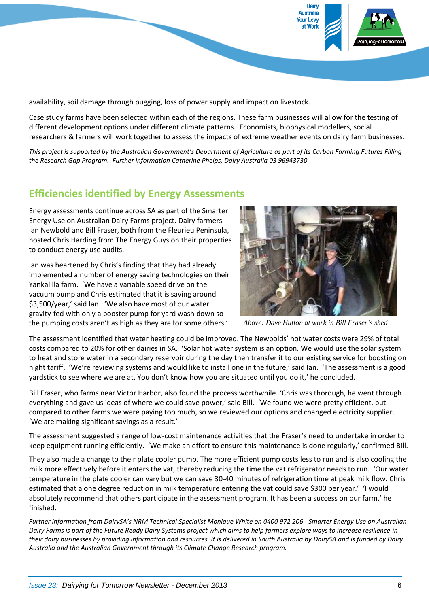

availability, soil damage through pugging, loss of power supply and impact on livestock.

Case study farms have been selected within each of the regions. These farm businesses will allow for the testing of different development options under different climate patterns. Economists, biophysical modellers, social researchers & farmers will work together to assess the impacts of extreme weather events on dairy farm businesses.

*This project is supported by the Australian Government's Department of Agriculture as part of its Carbon Farming Futures Filling the Research Gap Program. Further information Catherine Phelps, Dairy Australia 03 96943730*

#### **Efficiencies identified by Energy Assessments**

Energy assessments continue across SA as part of the Smarter Energy Use on Australian Dairy Farms project. Dairy farmers Ian Newbold and Bill Fraser, both from the Fleurieu Peninsula, hosted Chris Harding from The Energy Guys on their properties to conduct energy use audits.

Ian was heartened by Chris's finding that they had already implemented a number of energy saving technologies on their Yankalilla farm. 'We have a variable speed drive on the vacuum pump and Chris estimated that it is saving around \$3,500/year,' said Ian. 'We also have most of our water gravity-fed with only a booster pump for yard wash down so the pumping costs aren't as high as they are for some others.'



*Above: Dave Hutton at work in Bill Fraser's shed*

The assessment identified that water heating could be improved. The Newbolds' hot water costs were 29% of total costs compared to 20% for other dairies in SA. 'Solar hot water system is an option. We would use the solar system to heat and store water in a secondary reservoir during the day then transfer it to our existing service for boosting on night tariff. 'We're reviewing systems and would like to install one in the future,' said Ian. 'The assessment is a good yardstick to see where we are at. You don't know how you are situated until you do it,' he concluded.

Bill Fraser, who farms near Victor Harbor, also found the process worthwhile. 'Chris was thorough, he went through everything and gave us ideas of where we could save power,' said Bill. 'We found we were pretty efficient, but compared to other farms we were paying too much, so we reviewed our options and changed electricity supplier. 'We are making significant savings as a result.'

The assessment suggested a range of low-cost maintenance activities that the Fraser's need to undertake in order to keep equipment running efficiently. 'We make an effort to ensure this maintenance is done regularly,' confirmed Bill.

They also made a change to their plate cooler pump. The more efficient pump costs less to run and is also cooling the milk more effectively before it enters the vat, thereby reducing the time the vat refrigerator needs to run. 'Our water temperature in the plate cooler can vary but we can save 30-40 minutes of refrigeration time at peak milk flow. Chris estimated that a one degree reduction in milk temperature entering the vat could save \$300 per year.' 'I would absolutely recommend that others participate in the assessment program. It has been a success on our farm,' he finished.

*Further information from DairySA's NRM Technical Specialist Monique White on 0400 972 206. Smarter Energy Use on Australian Dairy Farms is part of the Future Ready Dairy Systems project which aims to help farmers explore ways to increase resilience in their dairy businesses by providing information and resources. It is delivered in South Australia by DairySA and is funded by Dairy Australia and the Australian Government through its Climate Change Research program.*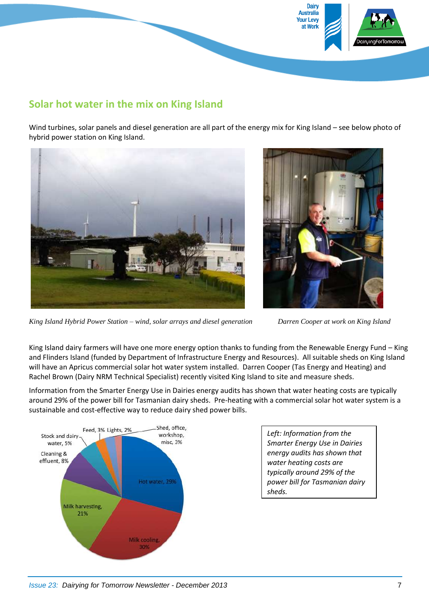

#### **Solar hot water in the mix on King Island**

Wind turbines, solar panels and diesel generation are all part of the energy mix for King Island – see below photo of hybrid power station on King Island.



*King Island Hybrid Power Station – wind, solar arrays and diesel generation Darren Cooper at work on King Island*

King Island dairy farmers will have one more energy option thanks to funding from the Renewable Energy Fund – King and Flinders Island (funded by Department of Infrastructure Energy and Resources). All suitable sheds on King Island will have an Apricus commercial solar hot water system installed. Darren Cooper (Tas Energy and Heating) and Rachel Brown (Dairy NRM Technical Specialist) recently visited King Island to site and measure sheds.

Information from the Smarter Energy Use in Dairies energy audits has shown that water heating costs are typically around 29% of the power bill for Tasmanian dairy sheds. Pre-heating with a commercial solar hot water system is a sustainable and cost-effective way to reduce dairy shed power bills.



*Left: Information from the Smarter Energy Use in Dairies energy audits has shown that water heating costs are typically around 29% of the power bill for Tasmanian dairy sheds.*